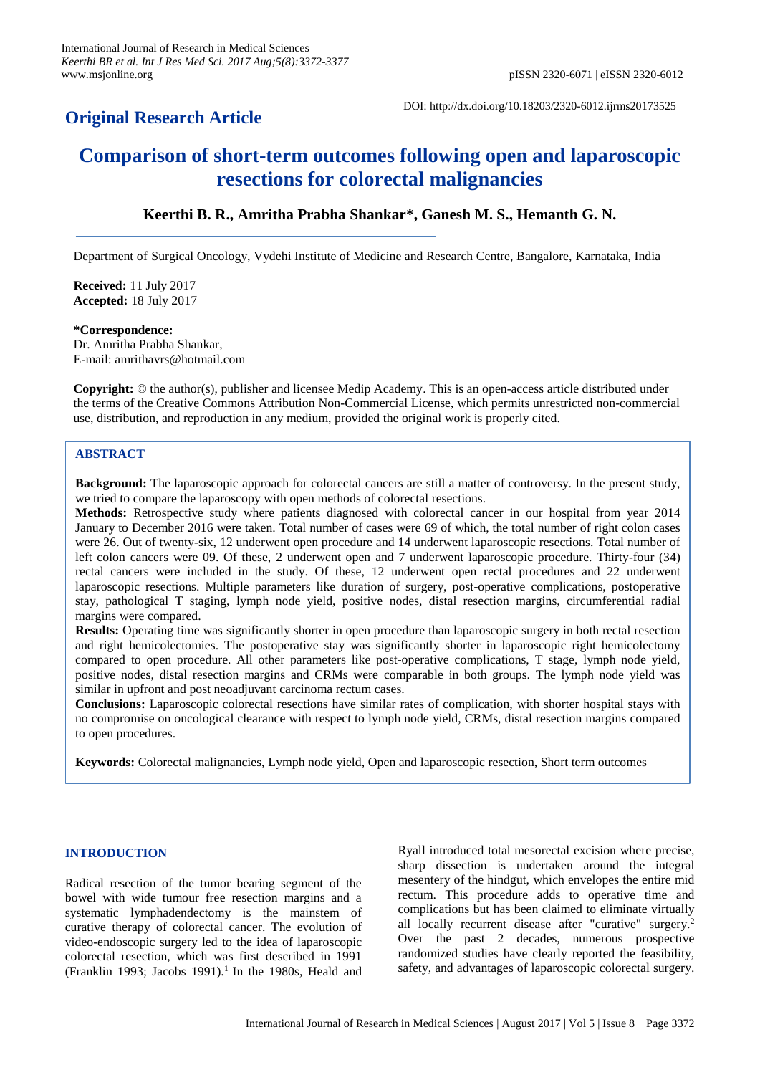## **Original Research Article**

DOI: http://dx.doi.org/10.18203/2320-6012.ijrms20173525

# **Comparison of short-term outcomes following open and laparoscopic resections for colorectal malignancies**

## **Keerthi B. R., Amritha Prabha Shankar\*, Ganesh M. S., Hemanth G. N.**

Department of Surgical Oncology, Vydehi Institute of Medicine and Research Centre, Bangalore, Karnataka, India

**Received:** 11 July 2017 **Accepted:** 18 July 2017

## **\*Correspondence:**

Dr. Amritha Prabha Shankar, E-mail: amrithavrs@hotmail.com

**Copyright:** © the author(s), publisher and licensee Medip Academy. This is an open-access article distributed under the terms of the Creative Commons Attribution Non-Commercial License, which permits unrestricted non-commercial use, distribution, and reproduction in any medium, provided the original work is properly cited.

## **ABSTRACT**

**Background:** The laparoscopic approach for colorectal cancers are still a matter of controversy. In the present study, we tried to compare the laparoscopy with open methods of colorectal resections.

**Methods:** Retrospective study where patients diagnosed with colorectal cancer in our hospital from year 2014 January to December 2016 were taken. Total number of cases were 69 of which, the total number of right colon cases were 26. Out of twenty-six, 12 underwent open procedure and 14 underwent laparoscopic resections. Total number of left colon cancers were 09. Of these, 2 underwent open and 7 underwent laparoscopic procedure. Thirty-four (34) rectal cancers were included in the study. Of these, 12 underwent open rectal procedures and 22 underwent laparoscopic resections. Multiple parameters like duration of surgery, post-operative complications, postoperative stay, pathological T staging, lymph node yield, positive nodes, distal resection margins, circumferential radial margins were compared.

**Results:** Operating time was significantly shorter in open procedure than laparoscopic surgery in both rectal resection and right hemicolectomies. The postoperative stay was significantly shorter in laparoscopic right hemicolectomy compared to open procedure. All other parameters like post-operative complications, T stage, lymph node yield, positive nodes, distal resection margins and CRMs were comparable in both groups. The lymph node yield was similar in upfront and post neoadjuvant carcinoma rectum cases.

**Conclusions:** Laparoscopic colorectal resections have similar rates of complication, with shorter hospital stays with no compromise on oncological clearance with respect to lymph node yield, CRMs, distal resection margins compared to open procedures.

**Keywords:** Colorectal malignancies, Lymph node yield, Open and laparoscopic resection, Short term outcomes

## **INTRODUCTION**

Radical resection of the tumor bearing segment of the bowel with wide tumour free resection margins and a systematic lymphadendectomy is the mainstem of curative therapy of colorectal cancer. The evolution of video-endoscopic surgery led to the idea of laparoscopic colorectal resection, which was first described in 1991 (Franklin 1993; Jacobs 1991).<sup>1</sup> In the 1980s, Heald and Ryall introduced total mesorectal excision where precise, sharp dissection is undertaken around the integral mesentery of the hindgut, which envelopes the entire mid rectum. This procedure adds to operative time and complications but has been claimed to eliminate virtually all locally recurrent disease after "curative" surgery.<sup>2</sup> Over the past 2 decades, numerous prospective randomized studies have clearly reported the feasibility, safety, and advantages of laparoscopic colorectal surgery.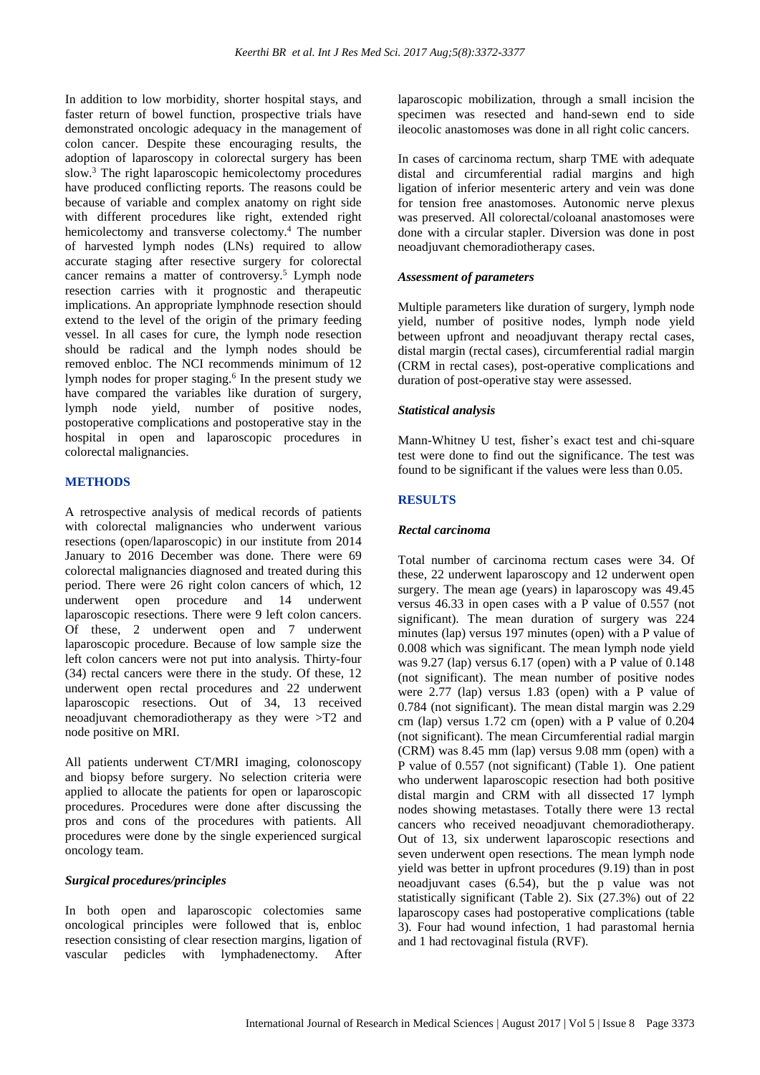In addition to low morbidity, shorter hospital stays, and faster return of bowel function, prospective trials have demonstrated oncologic adequacy in the management of colon cancer. Despite these encouraging results, the adoption of laparoscopy in colorectal surgery has been slow.<sup>3</sup> The right laparoscopic hemicolectomy procedures have produced conflicting reports. The reasons could be because of variable and complex anatomy on right side with different procedures like right, extended right hemicolectomy and transverse colectomy.<sup>4</sup> The number of harvested lymph nodes (LNs) required to allow accurate staging after resective surgery for colorectal cancer remains a matter of controversy.<sup>5</sup> Lymph node resection carries with it prognostic and therapeutic implications. An appropriate lymphnode resection should extend to the level of the origin of the primary feeding vessel. In all cases for cure, the lymph node resection should be radical and the lymph nodes should be removed enbloc. The NCI recommends minimum of 12 lymph nodes for proper staging.<sup>6</sup> In the present study we have compared the variables like duration of surgery, lymph node yield, number of positive nodes, postoperative complications and postoperative stay in the hospital in open and laparoscopic procedures in colorectal malignancies.

## **METHODS**

A retrospective analysis of medical records of patients with colorectal malignancies who underwent various resections (open/laparoscopic) in our institute from 2014 January to 2016 December was done. There were 69 colorectal malignancies diagnosed and treated during this period. There were 26 right colon cancers of which, 12 underwent open procedure and 14 underwent laparoscopic resections. There were 9 left colon cancers. Of these, 2 underwent open and 7 underwent laparoscopic procedure. Because of low sample size the left colon cancers were not put into analysis. Thirty-four (34) rectal cancers were there in the study. Of these, 12 underwent open rectal procedures and 22 underwent laparoscopic resections. Out of 34, 13 received neoadjuvant chemoradiotherapy as they were >T2 and node positive on MRI.

All patients underwent CT/MRI imaging, colonoscopy and biopsy before surgery. No selection criteria were applied to allocate the patients for open or laparoscopic procedures. Procedures were done after discussing the pros and cons of the procedures with patients. All procedures were done by the single experienced surgical oncology team.

#### *Surgical procedures/principles*

In both open and laparoscopic colectomies same oncological principles were followed that is, enbloc resection consisting of clear resection margins, ligation of vascular pedicles with lymphadenectomy. After laparoscopic mobilization, through a small incision the specimen was resected and hand-sewn end to side ileocolic anastomoses was done in all right colic cancers.

In cases of carcinoma rectum, sharp TME with adequate distal and circumferential radial margins and high ligation of inferior mesenteric artery and vein was done for tension free anastomoses. Autonomic nerve plexus was preserved. All colorectal/coloanal anastomoses were done with a circular stapler. Diversion was done in post neoadjuvant chemoradiotherapy cases.

#### *Assessment of parameters*

Multiple parameters like duration of surgery, lymph node yield, number of positive nodes, lymph node yield between upfront and neoadjuvant therapy rectal cases, distal margin (rectal cases), circumferential radial margin (CRM in rectal cases), post-operative complications and duration of post-operative stay were assessed.

#### *Statistical analysis*

Mann-Whitney U test, fisher's exact test and chi-square test were done to find out the significance. The test was found to be significant if the values were less than 0.05.

#### **RESULTS**

#### *Rectal carcinoma*

Total number of carcinoma rectum cases were 34. Of these, 22 underwent laparoscopy and 12 underwent open surgery. The mean age (years) in laparoscopy was 49.45 versus 46.33 in open cases with a P value of 0.557 (not significant). The mean duration of surgery was 224 minutes (lap) versus 197 minutes (open) with a P value of 0.008 which was significant. The mean lymph node yield was 9.27 (lap) versus 6.17 (open) with a P value of 0.148 (not significant). The mean number of positive nodes were 2.77 (lap) versus 1.83 (open) with a P value of 0.784 (not significant). The mean distal margin was 2.29 cm (lap) versus 1.72 cm (open) with a P value of 0.204 (not significant). The mean Circumferential radial margin (CRM) was 8.45 mm (lap) versus 9.08 mm (open) with a P value of 0.557 (not significant) (Table 1). One patient who underwent laparoscopic resection had both positive distal margin and CRM with all dissected 17 lymph nodes showing metastases. Totally there were 13 rectal cancers who received neoadjuvant chemoradiotherapy. Out of 13, six underwent laparoscopic resections and seven underwent open resections. The mean lymph node yield was better in upfront procedures (9.19) than in post neoadjuvant cases (6.54), but the p value was not statistically significant (Table 2). Six (27.3%) out of 22 laparoscopy cases had postoperative complications (table 3). Four had wound infection, 1 had parastomal hernia and 1 had rectovaginal fistula (RVF).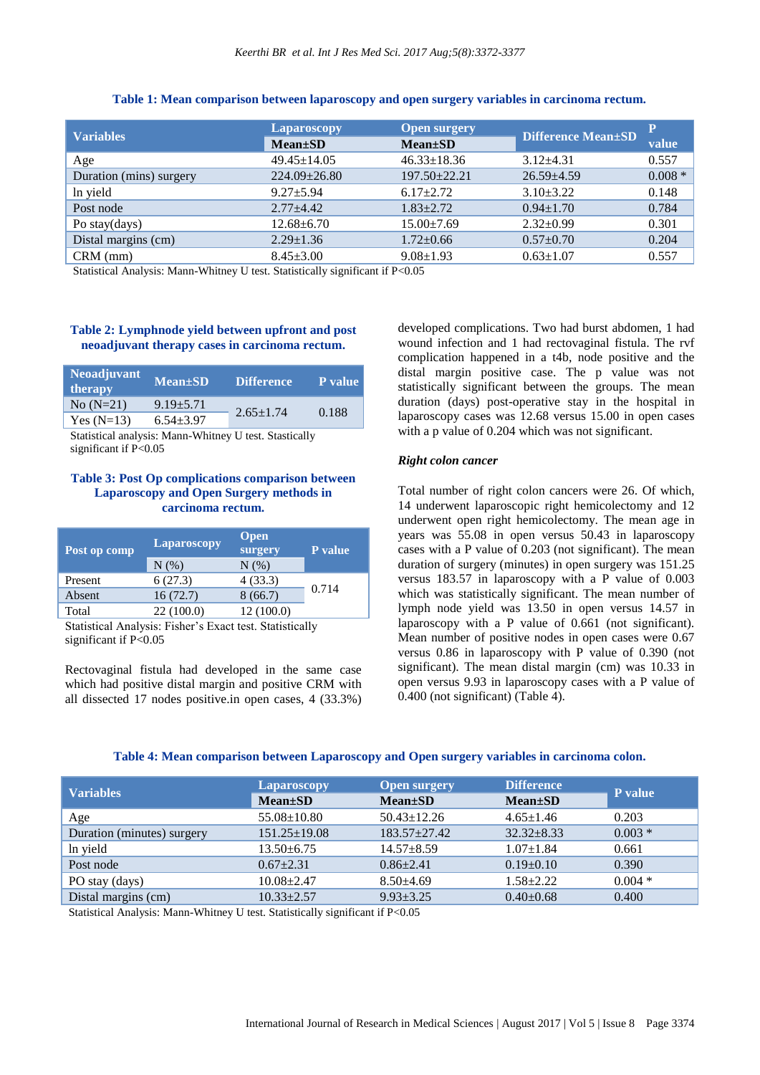| <b>Variables</b>        | Laparoscopy       | <b>Open surgery</b> | <b>Difference Mean±SD</b> | P         |
|-------------------------|-------------------|---------------------|---------------------------|-----------|
|                         | $Mean \pm SD$     | $Mean \pm SD$       |                           | value     |
| Age                     | $49.45 \pm 14.05$ | $46.33 \pm 18.36$   | $3.12 + 4.31$             | 0.557     |
| Duration (mins) surgery | $224.09 + 26.80$  | $197.50 + 22.21$    | $26.59 + 4.59$            | $0.008 *$ |
| In yield                | $9.27 + 5.94$     | $6.17+2.72$         | $3.10 \pm 3.22$           | 0.148     |
| Post node               | $2.77 + 4.42$     | $1.83 + 2.72$       | $0.94 \pm 1.70$           | 0.784     |
| Po stay(days)           | $12.68 \pm 6.70$  | $15.00 \pm 7.69$    | $2.32 \pm 0.99$           | 0.301     |
| Distal margins (cm)     | $2.29 \pm 1.36$   | $1.72 \pm 0.66$     | $0.57 \pm 0.70$           | 0.204     |
| $CRM$ (mm)              | $8.45 \pm 3.00$   | $9.08 \pm 1.93$     | $0.63 \pm 1.07$           | 0.557     |

#### **Table 1: Mean comparison between laparoscopy and open surgery variables in carcinoma rectum.**

Statistical Analysis: Mann-Whitney U test. Statistically significant if P<0.05

### **Table 2: Lymphnode yield between upfront and post neoadjuvant therapy cases in carcinoma rectum.**

| <b>Neoadjuvant</b><br>therapy | Mean±SD       | <b>Difference</b> | P value |
|-------------------------------|---------------|-------------------|---------|
| $No (N=21)$                   | $9.19 + 5.71$ | $2.65 \pm 1.74$   | 0.188   |
| Yes $(N=13)$                  | $6.54 + 3.97$ |                   |         |

Statistical analysis: Mann-Whitney U test. Stastically significant if P<0.05

## **Table 3: Post Op complications comparison between Laparoscopy and Open Surgery methods in carcinoma rectum.**

| Post op comp | Laparoscopy | <b>Open</b><br>surgery | <b>P</b> value |  |
|--------------|-------------|------------------------|----------------|--|
|              | N(% )       | N(% )                  |                |  |
| Present      | 6(27.3)     | 4(33.3)                |                |  |
| Absent       | 16(72.7)    | 8(66.7)                | 0.714          |  |
| Total        | 22(100.0)   | 12(100.0)              |                |  |

Statistical Analysis: Fisher's Exact test. Statistically significant if P<0.05

Rectovaginal fistula had developed in the same case which had positive distal margin and positive CRM with all dissected 17 nodes positive.in open cases, 4 (33.3%) developed complications. Two had burst abdomen, 1 had wound infection and 1 had rectovaginal fistula. The rvf complication happened in a t4b, node positive and the distal margin positive case. The p value was not statistically significant between the groups. The mean duration (days) post-operative stay in the hospital in laparoscopy cases was 12.68 versus 15.00 in open cases with a p value of 0.204 which was not significant.

#### *Right colon cancer*

Total number of right colon cancers were 26. Of which, 14 underwent laparoscopic right hemicolectomy and 12 underwent open right hemicolectomy. The mean age in years was 55.08 in open versus 50.43 in laparoscopy cases with a P value of 0.203 (not significant). The mean duration of surgery (minutes) in open surgery was 151.25 versus 183.57 in laparoscopy with a P value of 0.003 which was statistically significant. The mean number of lymph node yield was 13.50 in open versus 14.57 in laparoscopy with a P value of 0.661 (not significant). Mean number of positive nodes in open cases were 0.67 versus 0.86 in laparoscopy with P value of 0.390 (not significant). The mean distal margin (cm) was 10.33 in open versus 9.93 in laparoscopy cases with a P value of 0.400 (not significant) (Table 4).

| Table 4: Mean comparison between Laparoscopy and Open surgery variables in carcinoma colon. |  |  |  |
|---------------------------------------------------------------------------------------------|--|--|--|
|---------------------------------------------------------------------------------------------|--|--|--|

| <b>Variables</b>           | <b>Laparoscopy</b> | <b>Open surgery</b> | <b>Difference</b> | P value  |
|----------------------------|--------------------|---------------------|-------------------|----------|
|                            | $Mean \pm SD$      | $Mean \pm SD$       | $Mean \pm SD$     |          |
| Age                        | $55.08 \pm 10.80$  | $50.43 \pm 12.26$   | $4.65 \pm 1.46$   | 0.203    |
| Duration (minutes) surgery | $151.25 \pm 19.08$ | $183.57 + 27.42$    | $32.32 + 8.33$    | $0.003*$ |
| In yield                   | $13.50 \pm 6.75$   | $14.57 + 8.59$      | $1.07 \pm 1.84$   | 0.661    |
| Post node                  | $0.67 + 2.31$      | $0.86 + 2.41$       | $0.19 \pm 0.10$   | 0.390    |
| PO stay (days)             | $10.08 \pm 2.47$   | $8.50\pm4.69$       | $1.58 + 2.22$     | $0.004*$ |
| Distal margins (cm)        | $10.33 + 2.57$     | $9.93 \pm 3.25$     | $0.40 \pm 0.68$   | 0.400    |

Statistical Analysis: Mann-Whitney U test. Statistically significant if P<0.05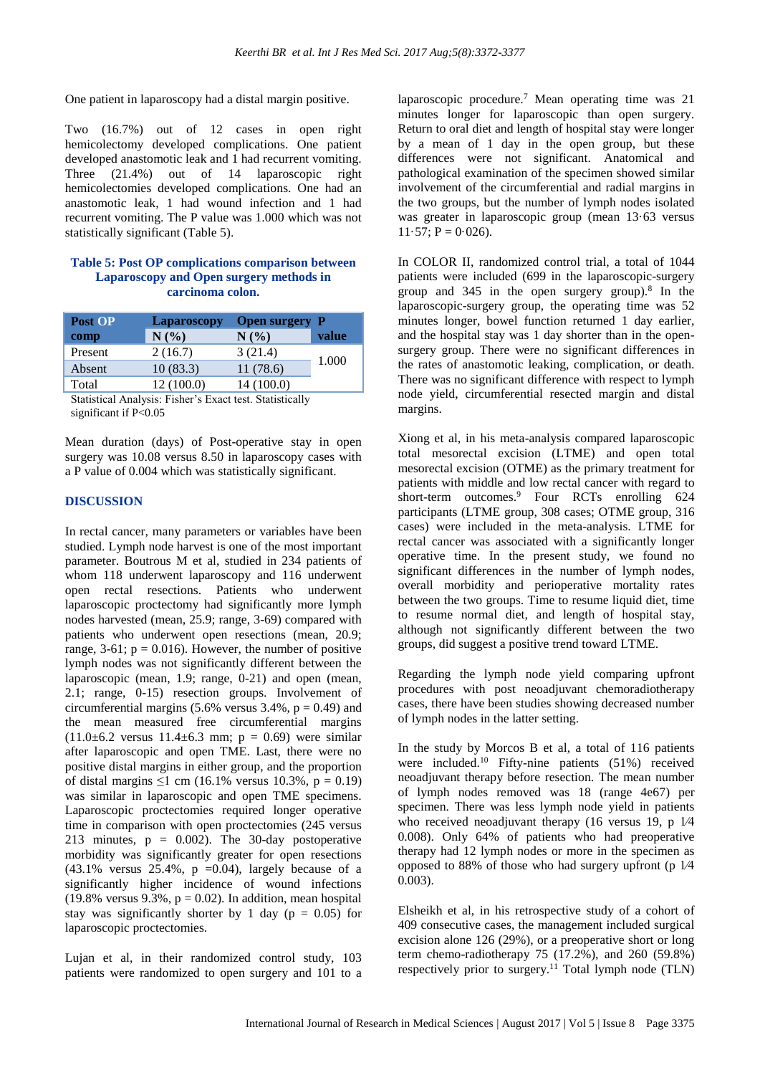One patient in laparoscopy had a distal margin positive.

Two (16.7%) out of 12 cases in open right hemicolectomy developed complications. One patient developed anastomotic leak and 1 had recurrent vomiting. Three (21.4%) out of 14 laparoscopic right hemicolectomies developed complications. One had an anastomotic leak, 1 had wound infection and 1 had recurrent vomiting. The P value was 1.000 which was not statistically significant (Table 5).

#### **Table 5: Post OP complications comparison between Laparoscopy and Open surgery methods in carcinoma colon.**

| <b>Post OP</b>                     | Laparoscopy   | <b>Open surgery P</b> |       |
|------------------------------------|---------------|-----------------------|-------|
| comp                               | N(%)          | N(%)                  | value |
| Present                            | 2(16.7)       | 3(21.4)               |       |
| Absent                             | 10(83.3)      | 11(78.6)              | 1.000 |
| Total                              | 12(100.0)     | 14 (100.0)            |       |
| $\sim$ $\sim$ $\sim$ $\sim$ $\sim$ | $\sim$ $\sim$ | 1.1 1.01 1.1 1.1 1.1  |       |

Statistical Analysis: Fisher's Exact test. Statistically significant if P<0.05

Mean duration (days) of Post-operative stay in open surgery was 10.08 versus 8.50 in laparoscopy cases with a P value of 0.004 which was statistically significant.

#### **DISCUSSION**

In rectal cancer, many parameters or variables have been studied. Lymph node harvest is one of the most important parameter. Boutrous M et al, studied in 234 patients of whom 118 underwent laparoscopy and 116 underwent open rectal resections. Patients who underwent laparoscopic proctectomy had significantly more lymph nodes harvested (mean, 25.9; range, 3-69) compared with patients who underwent open resections (mean, 20.9; range,  $3-61$ ;  $p = 0.016$ ). However, the number of positive lymph nodes was not significantly different between the laparoscopic (mean, 1.9; range, 0-21) and open (mean, 2.1; range, 0-15) resection groups. Involvement of circumferential margins (5.6% versus  $3.4\%$ ,  $p = 0.49$ ) and the mean measured free circumferential margins  $(11.0\pm6.2 \text{ versus } 11.4\pm6.3 \text{ mm}; \text{ p } = 0.69) \text{ were similar}$ after laparoscopic and open TME. Last, there were no positive distal margins in either group, and the proportion of distal margins  $\leq$ 1 cm (16.1% versus 10.3%, p = 0.19) was similar in laparoscopic and open TME specimens. Laparoscopic proctectomies required longer operative time in comparison with open proctectomies (245 versus 213 minutes,  $p = 0.002$ . The 30-day postoperative morbidity was significantly greater for open resections  $(43.1\%$  versus  $25.4\%$ , p =0.04), largely because of a significantly higher incidence of wound infections (19.8% versus 9.3%,  $p = 0.02$ ). In addition, mean hospital stay was significantly shorter by 1 day ( $p = 0.05$ ) for laparoscopic proctectomies.

Lujan et al, in their randomized control study, 103 patients were randomized to open surgery and 101 to a laparoscopic procedure.<sup>7</sup> Mean operating time was 21 minutes longer for laparoscopic than open surgery. Return to oral diet and length of hospital stay were longer by a mean of 1 day in the open group, but these differences were not significant. Anatomical and pathological examination of the specimen showed similar involvement of the circumferential and radial margins in the two groups, but the number of lymph nodes isolated was greater in laparoscopic group (mean 13·63 versus  $11·57$ ; P = 0.026).

In COLOR II, randomized control trial, a total of 1044 patients were included (699 in the laparoscopic-surgery group and  $345$  in the open surgery group).<sup>8</sup> In the laparoscopic-surgery group, the operating time was 52 minutes longer, bowel function returned 1 day earlier, and the hospital stay was 1 day shorter than in the opensurgery group. There were no significant differences in the rates of anastomotic leaking, complication, or death. There was no significant difference with respect to lymph node yield, circumferential resected margin and distal margins.

Xiong et al, in his meta-analysis compared laparoscopic total mesorectal excision (LTME) and open total mesorectal excision (OTME) as the primary treatment for patients with middle and low rectal cancer with regard to short-term outcomes. <sup>9</sup> Four RCTs enrolling 624 participants (LTME group, 308 cases; OTME group, 316 cases) were included in the meta-analysis. LTME for rectal cancer was associated with a significantly longer operative time. In the present study, we found no significant differences in the number of lymph nodes, overall morbidity and perioperative mortality rates between the two groups. Time to resume liquid diet, time to resume normal diet, and length of hospital stay, although not significantly different between the two groups, did suggest a positive trend toward LTME.

Regarding the lymph node yield comparing upfront procedures with post neoadjuvant chemoradiotherapy cases, there have been studies showing decreased number of lymph nodes in the latter setting.

In the study by Morcos B et al, a total of 116 patients were included.<sup>10</sup> Fifty-nine patients (51%) received neoadjuvant therapy before resection. The mean number of lymph nodes removed was 18 (range 4e67) per specimen. There was less lymph node yield in patients who received neoadjuvant therapy (16 versus 19, p  $1/4$ 0.008). Only 64% of patients who had preoperative therapy had 12 lymph nodes or more in the specimen as opposed to 88% of those who had surgery upfront (p 1⁄4 0.003).

Elsheikh et al, in his retrospective study of a cohort of 409 consecutive cases, the management included surgical excision alone 126 (29%), or a preoperative short or long term chemo-radiotherapy 75 (17.2%), and 260 (59.8%) respectively prior to surgery.<sup>11</sup> Total lymph node  $(TLN)$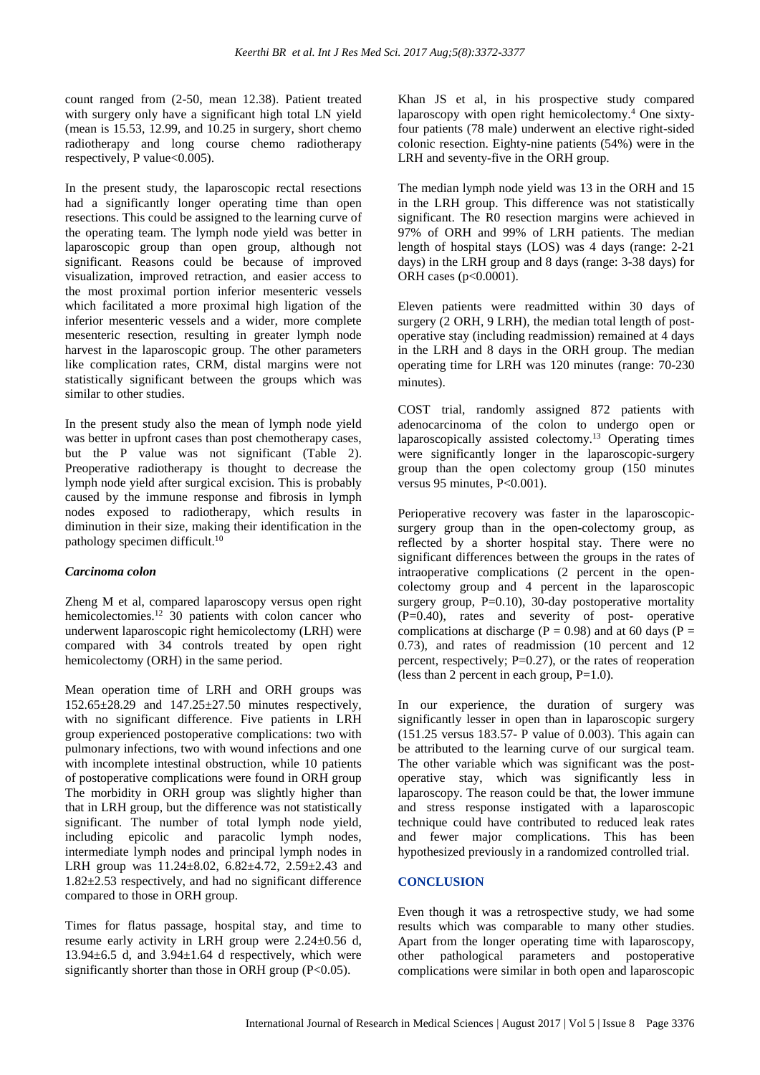count ranged from (2-50, mean 12.38). Patient treated with surgery only have a significant high total LN yield (mean is 15.53, 12.99, and 10.25 in surgery, short chemo radiotherapy and long course chemo radiotherapy respectively, P value $<0.005$ ).

In the present study, the laparoscopic rectal resections had a significantly longer operating time than open resections. This could be assigned to the learning curve of the operating team. The lymph node yield was better in laparoscopic group than open group, although not significant. Reasons could be because of improved visualization, improved retraction, and easier access to the most proximal portion inferior mesenteric vessels which facilitated a more proximal high ligation of the inferior mesenteric vessels and a wider, more complete mesenteric resection, resulting in greater lymph node harvest in the laparoscopic group. The other parameters like complication rates, CRM, distal margins were not statistically significant between the groups which was similar to other studies.

In the present study also the mean of lymph node yield was better in upfront cases than post chemotherapy cases, but the P value was not significant (Table 2). Preoperative radiotherapy is thought to decrease the lymph node yield after surgical excision. This is probably caused by the immune response and fibrosis in lymph nodes exposed to radiotherapy, which results in diminution in their size, making their identification in the pathology specimen difficult.<sup>10</sup>

#### *Carcinoma colon*

Zheng M et al, compared laparoscopy versus open right hemicolectomies.<sup>12</sup> 30 patients with colon cancer who underwent laparoscopic right hemicolectomy (LRH) were compared with 34 controls treated by open right hemicolectomy (ORH) in the same period.

Mean operation time of LRH and ORH groups was 152.65±28.29 and 147.25±27.50 minutes respectively, with no significant difference. Five patients in LRH group experienced postoperative complications: two with pulmonary infections, two with wound infections and one with incomplete intestinal obstruction, while 10 patients of postoperative complications were found in ORH group The morbidity in ORH group was slightly higher than that in LRH group, but the difference was not statistically significant. The number of total lymph node yield, including epicolic and paracolic lymph nodes, intermediate lymph nodes and principal lymph nodes in LRH group was 11.24±8.02, 6.82±4.72, 2.59±2.43 and 1.82±2.53 respectively, and had no significant difference compared to those in ORH group.

Times for flatus passage, hospital stay, and time to resume early activity in LRH group were 2.24±0.56 d,  $13.94\pm6.5$  d, and  $3.94\pm1.64$  d respectively, which were significantly shorter than those in ORH group (P<0.05).

Khan JS et al, in his prospective study compared laparoscopy with open right hemicolectomy.<sup>4</sup> One sixtyfour patients (78 male) underwent an elective right-sided colonic resection. Eighty-nine patients (54%) were in the LRH and seventy-five in the ORH group.

The median lymph node yield was 13 in the ORH and 15 in the LRH group. This difference was not statistically significant. The R0 resection margins were achieved in 97% of ORH and 99% of LRH patients. The median length of hospital stays (LOS) was 4 days (range: 2-21 days) in the LRH group and 8 days (range: 3-38 days) for ORH cases (p<0.0001).

Eleven patients were readmitted within 30 days of surgery (2 ORH, 9 LRH), the median total length of postoperative stay (including readmission) remained at 4 days in the LRH and 8 days in the ORH group. The median operating time for LRH was 120 minutes (range: 70-230 minutes).

COST trial, randomly assigned 872 patients with adenocarcinoma of the colon to undergo open or laparoscopically assisted colectomy.<sup>13</sup> Operating times were significantly longer in the laparoscopic-surgery group than the open colectomy group (150 minutes versus 95 minutes, P<0.001).

Perioperative recovery was faster in the laparoscopicsurgery group than in the open-colectomy group, as reflected by a shorter hospital stay. There were no significant differences between the groups in the rates of intraoperative complications (2 percent in the opencolectomy group and 4 percent in the laparoscopic surgery group,  $P=0.10$ ), 30-day postoperative mortality (P=0.40), rates and severity of post- operative complications at discharge ( $P = 0.98$ ) and at 60 days ( $P =$ 0.73), and rates of readmission (10 percent and 12 percent, respectively;  $P=0.27$ ), or the rates of reoperation (less than 2 percent in each group,  $P=1.0$ ).

In our experience, the duration of surgery was significantly lesser in open than in laparoscopic surgery (151.25 versus 183.57- P value of 0.003). This again can be attributed to the learning curve of our surgical team. The other variable which was significant was the postoperative stay, which was significantly less in laparoscopy. The reason could be that, the lower immune and stress response instigated with a laparoscopic technique could have contributed to reduced leak rates and fewer major complications. This has been hypothesized previously in a randomized controlled trial.

## **CONCLUSION**

Even though it was a retrospective study, we had some results which was comparable to many other studies. Apart from the longer operating time with laparoscopy, other pathological parameters and postoperative complications were similar in both open and laparoscopic